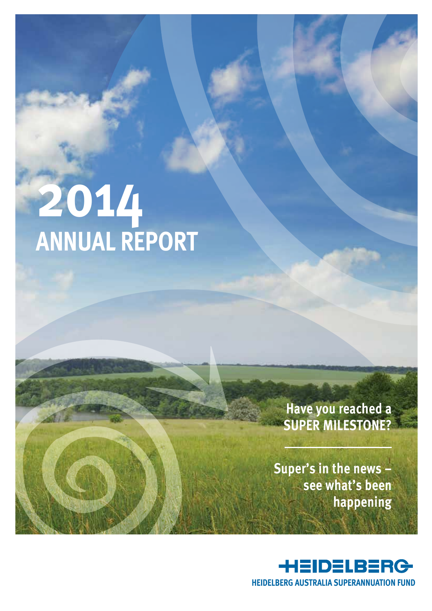# **2014 Annual Report**

### **Have you reached a super milestone?**

**Super's in the news – see what's been happening** 

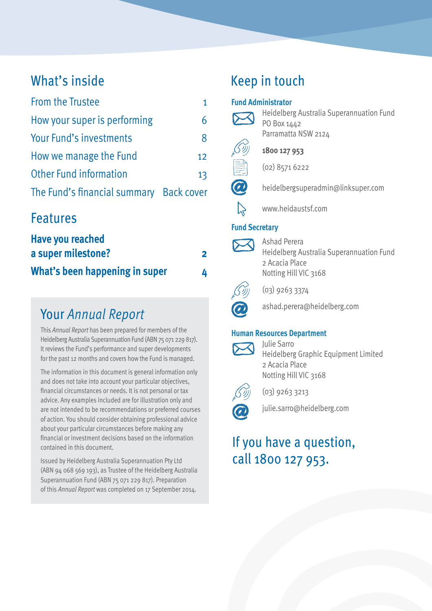### What's inside

| <b>From the Trustee</b>                 |    |
|-----------------------------------------|----|
| How your super is performing            |    |
| Your Fund's investments                 | 8  |
| How we manage the Fund                  | 12 |
| <b>Other Fund information</b>           | 13 |
| The Fund's financial summary Back cover |    |

### Features

| <b>Have you reached</b>        |   |
|--------------------------------|---|
| a super milestone?             | 2 |
| What's been happening in super | 4 |

### Your *Annual Report*

This *Annual Report* has been prepared for members of the Heidelberg Australia Superannuation Fund (ABN 75 071 229 817). It reviews the Fund's performance and super developments for the past 12 months and covers how the Fund is managed.

The information in this document is general information only and does not take into account your particular objectives, financial circumstances or needs. It is not personal or tax advice. Any examples included are for illustration only and are not intended to be recommendations or preferred courses of action. You should consider obtaining professional advice about your particular circumstances before making any financial or investment decisions based on the information contained in this document.

Issued by Heidelberg Australia Superannuation Pty Ltd (ABN 94 068 569 193), as Trustee of the Heidelberg Australia Superannuation Fund (ABN 75 071 229 817). Preparation of this *Annual Report* was completed on 17 September 2014.

### Keep in touch

#### **Fund Administrator**



Heidelberg Australia Superannuation Fund PO Box 1442 Parramatta NSW 2124



**1800 127 953**

(02) 8571 6222



heidelbergsuperadmin@linksuper.com



www.heidaustsf.com

#### **Fund Secretary**



Ashad Perera Heidelberg Australia Superannuation Fund 2 Acacia Place Notting Hill VIC 3168



(03) 9263 3374



ashad.perera@heidelberg.com

#### **Human Resources Department**



Julie Sarro Heidelberg Graphic Equipment Limited 2 Acacia Place Notting Hill VIC 3168



(03) 9263 3213



### If you have a question, call 1800 127 953.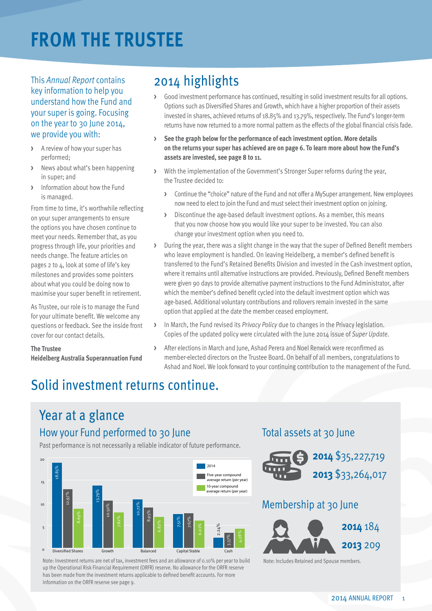# **From the Trustee**

This *Annual Report* contains key information to help you understand how the Fund and your super is going. Focusing on the year to 30 June 2014, we provide you with:

- **>** A review of how your super has performed;
- **>** News about what's been happening in super; and
- **>** Information about how the Fund is managed.

From time to time, it's worthwhile reflecting on your super arrangements to ensure the options you have chosen continue to meet your needs. Remember that, as you progress through life, your priorities and needs change. The feature articles on pages 2 to 4, look at some of life's key milestones and provides some pointers about what you could be doing now to maximise your super benefit in retirement.

As Trustee, our role is to manage the Fund for your ultimate benefit. We welcome any questions or feedback. See the inside front cover for our contact details.

#### **The Trustee**

**Heidelberg Australia Superannuation Fund**

### 2014 highlights

- **>** Good investment performance has continued, resulting in solid investment results for all options. Options such as Diversified Shares and Growth, which have a higher proportion of their assets invested in shares, achieved returns of 18.85% and 13.79%, respectively. The Fund's longer-term returns have now returned to a more normal pattern as the effects of the global financial crisis fade.
- **> See the graph below for the performance of each investment option. More details on the returns your super has achieved are on page 6. To learn more about how the Fund's assets are invested, see page 8 to 11.**
- **>** With the implementation of the Government's Stronger Super reforms during the year, the Trustee decided to:
	- **>** Continue the "choice" nature of the Fund and not offer a MySuper arrangement. New employees now need to elect to join the Fund and must select their investment option on joining.
	- **>** Discontinue the age-based default investment options. As a member, this means that you now choose how you would like your super to be invested. You can also change your investment option when you need to.
- **>** During the year, there was a slight change in the way that the super of Defined Benefit members who leave employment is handled. On leaving Heidelberg, a member's defined benefit is transferred to the Fund's Retained Benefits Division and invested in the Cash investment option, where it remains until alternative instructions are provided. Previously, Defined Benefit members were given 90 days to provide alternative payment instructions to the Fund Administrator, after which the member's defined benefit cycled into the default investment option which was age-based. Additional voluntary contributions and rollovers remain invested in the same option that applied at the date the member ceased employment.
- **>** In March, the Fund revised its *Privacy Policy* due to changes in the Privacy legislation. Copies of the updated policy were circulated with the June 2014 issue of *Super Update*.
- **>** After elections in March and June, Ashad Perera and Noel Renwick were reconfirmed as member-elected directors on the Trustee Board. On behalf of all members, congratulations to Ashad and Noel. We look forward to your continuing contribution to the management of the Fund.

### Solid investment returns continue.

### Year at a glance How your Fund performed to 30 June

Past performance is not necessarily a reliable indicator of future performance.



Note: Investment returns are net of tax, investment fees and an allowance of 0.10% per year to build Note: Includes Retained and Spouse members. up the Operational Risk Financial Requirement (ORFR) reserve. No allowance for the ORFR reserve has been made from the investment returns applicable to defined benefit accounts. For more information on the ORFR reserve see page 9.

#### Total assets at 30 June



#### Membership at 30 June

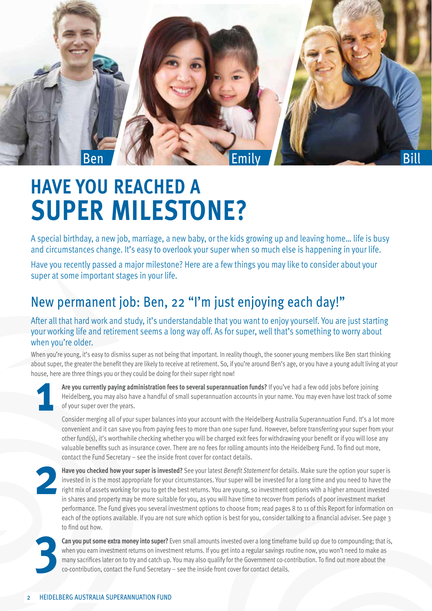

# **Have you reached a super milestone?**

A special birthday, a new job, marriage, a new baby, or the kids growing up and leaving home… life is busy and circumstances change. It's easy to overlook your super when so much else is happening in your life.

Have you recently passed a major milestone? Here are a few things you may like to consider about your super at some important stages in your life.

### New permanent job: Ben, 22 "I'm just enjoying each day!"

After all that hard work and study, it's understandable that you want to enjoy yourself. You are just starting your working life and retirement seems a long way off. As for super, well that's something to worry about when you're older.

When you're young, it's easy to dismiss super as not being that important. In reality though, the sooner young members like Ben start thinking about super, the greater the benefit they are likely to receive at retirement. So, if you're around Ben's age, or you have a young adult living at your house, here are three things you or they could be doing for their super right now!



**Are you currently paying administration fees to several superannuation funds?** If you've had a few odd jobs before joining Heidelberg, you may also have a handful of small superannuation accounts in your name. You may even have lost track of some of your super over the years.

Consider merging all of your super balances into your account with the Heidelberg Australia Superannuation Fund. It's a lot more convenient and it can save you from paying fees to more than one super fund. However, before transferring your super from your other fund(s), it's worthwhile checking whether you will be charged exit fees for withdrawing your benefit or if you will lose any valuable benefits such as insurance cover. There are no fees for rolling amounts into the Heidelberg Fund. To find out more, contact the Fund Secretary – see the inside front cover for contact details.



**Have you checked how your super is invested?** See your latest *Benefit Statement* for details. Make sure the option your super is invested in is the most appropriate for your circumstances. Your super will be invested for a long time and you need to have the right mix of assets working for you to get the best returns. You are young, so investment options with a higher amount invested in shares and property may be more suitable for you, as you will have time to recover from periods of poor investment market performance. The Fund gives you several investment options to choose from; read pages 8 to 11 of this Report for information on each of the options available. If you are not sure which option is best for you, consider talking to a financial adviser. See page 3 to find out how.



**Can you put some extra money into super?** Even small amounts invested over a long timeframe build up due to compounding; that is, when you earn investment returns on investment returns. If you get into a regular savings routine now, you won't need to make as many sacrifices later on to try and catch up. You may also qualify for the Government co-contribution. To find out more about the co-contribution, contact the Fund Secretary – see the inside front cover for contact details.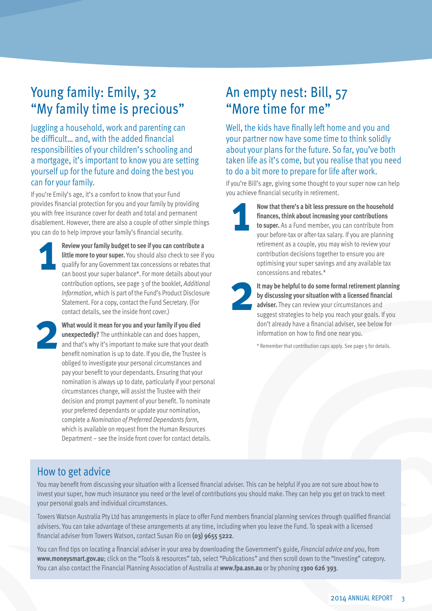### Young family: Emily, 32 "My family time is precious"

Juggling a household, work and parenting can be difficult… and, with the added financial responsibilities of your children's schooling and a mortgage, it's important to know you are setting yourself up for the future and doing the best you can for your family.

If you're Emily's age, it's a comfort to know that your Fund provides financial protection for you and your family by providing you with free insurance cover for death and total and permanent disablement. However, there are also a couple of other simple things you can do to help improve your family's financial security.

**Review your family budget to see if you can contribute a little more to your super.** You should also check to see if you qualify for any Government tax concessions or rebates that can boost your super balance\*. For more details about your contribution options, see page 3 of the booklet, *Additional Information*, which is part of the Fund's Product Disclosure Statement. For a copy, contact the Fund Secretary. (For contact details, see the inside front cover.) **1**

**What would it mean for you and your family if you died unexpectedly?** The unthinkable can and does happen, and that's why it's important to make sure that your death benefit nomination is up to date. If you die, the Trustee is obliged to investigate your personal circumstances and pay your benefit to your dependants. Ensuring that your nomination is always up to date, particularly if your personal circumstances change, will assist the Trustee with their decision and prompt payment of your benefit. To nominate your preferred dependants or update your nomination, complete a *Nomination of Preferred Dependants form*, which is available on request from the Human Resources Department – see the inside front cover for contact details. **2**

### An empty nest: Bill, 57 "More time for me"

Well, the kids have finally left home and you and your partner now have some time to think solidly about your plans for the future. So far, you've both taken life as it's come, but you realise that you need to do a bit more to prepare for life after work.

If you're Bill's age, giving some thought to your super now can help you achieve financial security in retirement.



**Now that there's a bit less pressure on the household finances, think about increasing your contributions to super.** As a Fund member, you can contribute from your before-tax or after-tax salary. If you are planning retirement as a couple, you may wish to review your contribution decisions together to ensure you are optimising your super savings and any available tax concessions and rebates.\*



**It may be helpful to do some formal retirement planning by discussing your situation with a licensed financial adviser.** They can review your circumstances and suggest strategies to help you reach your goals. If you don't already have a financial adviser, see below for information on how to find one near you.

\* Remember that contribution caps apply. See page 5 for details.

#### How to get advice

You may benefit from discussing your situation with a licensed financial adviser. This can be helpful if you are not sure about how to invest your super, how much insurance you need or the level of contributions you should make. They can help you get on track to meet your personal goals and individual circumstances.

Towers Watson Australia Pty Ltd has arrangements in place to offer Fund members financial planning services through qualified financial advisers. You can take advantage of these arrangements at any time, including when you leave the Fund. To speak with a licensed financial adviser from Towers Watson, contact Susan Rio on **(03) 9655 5222**.

You can find tips on locating a financial adviser in your area by downloading the Government's guide, *Financial advice and you*, from **www.moneysmart.gov.au**; click on the "Tools & resources" tab, select "Publications" and then scroll down to the "Investing" category. You can also contact the Financial Planning Association of Australia at **www.fpa.asn.au** or by phoning **1300 626 393**.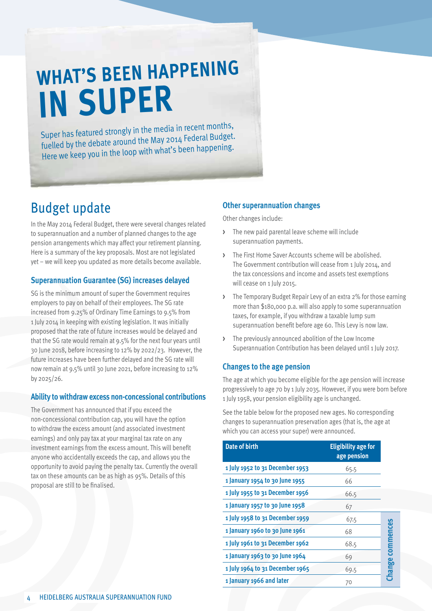# **What's been happening in super**

Super has featured strongly in the media in recent months, fuelled by the debate around the May 2014 Federal Budget. Here we keep you in the loop with what's been happening.

### Budget update

In the May 2014 Federal Budget, there were several changes related to superannuation and a number of planned changes to the age pension arrangements which may affect your retirement planning. Here is a summary of the key proposals. Most are not legislated yet – we will keep you updated as more details become available.

#### **Superannuation Guarantee (SG) increases delayed**

SG is the minimum amount of super the Government requires employers to pay on behalf of their employees. The SG rate increased from 9.25% of Ordinary Time Earnings to 9.5% from 1 July 2014 in keeping with existing legislation. It was initially proposed that the rate of future increases would be delayed and that the SG rate would remain at 9.5% for the next four years until 30 June 2018, before increasing to 12% by 2022/23. However, the future increases have been further delayed and the SG rate will now remain at 9.5% until 30 June 2021, before increasing to 12% by 2025/26.

#### **Ability to withdraw excess non-concessional contributions**

The Government has announced that if you exceed the non-concessional contribution cap, you will have the option to withdraw the excess amount (and associated investment earnings) and only pay tax at your marginal tax rate on any investment earnings from the excess amount. This will benefit anyone who accidentally exceeds the cap, and allows you the opportunity to avoid paying the penalty tax. Currently the overall tax on these amounts can be as high as 95%. Details of this proposal are still to be finalised.

#### **Other superannuation changes**

Other changes include:

- **>** The new paid parental leave scheme will include superannuation payments.
- **>** The First Home Saver Accounts scheme will be abolished. The Government contribution will cease from 1 July 2014, and the tax concessions and income and assets test exemptions will cease on 1 July 2015.
- **>** The Temporary Budget Repair Levy of an extra 2% for those earning more than \$180,000 p.a. will also apply to some superannuation taxes, for example, if you withdraw a taxable lump sum superannuation benefit before age 60. This Levy is now law.
- **>** The previously announced abolition of the Low Income Superannuation Contribution has been delayed until 1 July 2017.

#### **Changes to the age pension**

The age at which you become eligible for the age pension will increase progressively to age 70 by 1 July 2035. However, if you were born before 1 July 1958, your pension eligibility age is unchanged.

See the table below for the proposed new ages. No corresponding changes to superannuation preservation ages (that is, the age at which you can access your super) were announced.

| <b>Date of birth</b>            | <b>Eligibility age for</b><br>age pension |               |
|---------------------------------|-------------------------------------------|---------------|
| 1 July 1952 to 31 December 1953 | 65.5                                      |               |
| 1 January 1954 to 30 June 1955  | 66                                        |               |
| 1 July 1955 to 31 December 1956 | 66.5                                      |               |
| 1 January 1957 to 30 June 1958  | 67                                        |               |
| 1 July 1958 to 31 December 1959 | 67.5                                      |               |
| 1 January 1960 to 30 June 1961  | 68                                        | commences     |
| 1 July 1961 to 31 December 1962 | 68.5                                      |               |
| 1 January 1963 to 30 June 1964  | 69                                        |               |
| 1 July 1964 to 31 December 1965 | 69.5                                      | <b>Change</b> |
| 1 January 1966 and later        | 70                                        |               |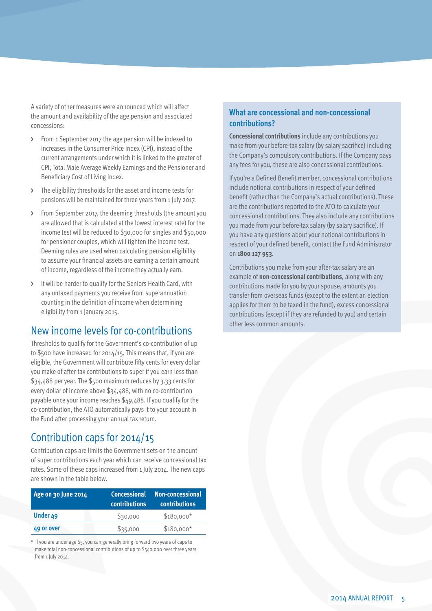A variety of other measures were announced which will affect the amount and availability of the age pension and associated concessions:

- **>** From 1 September 2017 the age pension will be indexed to increases in the Consumer Price Index (CPI), instead of the current arrangements under which it is linked to the greater of CPI, Total Male Average Weekly Earnings and the Pensioner and Beneficiary Cost of Living Index.
- **>** The eligibility thresholds for the asset and income tests for pensions will be maintained for three years from 1 July 2017.
- **>** From September 2017, the deeming thresholds (the amount you are allowed that is calculated at the lowest interest rate) for the income test will be reduced to \$30,000 for singles and \$50,000 for pensioner couples, which will tighten the income test. Deeming rules are used when calculating pension eligibility to assume your financial assets are earning a certain amount of income, regardless of the income they actually earn.
- **>** It will be harder to qualify for the Seniors Health Card, with any untaxed payments you receive from superannuation counting in the definition of income when determining eligibility from 1 January 2015.

#### New income levels for co-contributions

Thresholds to qualify for the Government's co-contribution of up to \$500 have increased for 2014/15. This means that, if you are eligible, the Government will contribute fifty cents for every dollar you make of after-tax contributions to super if you earn less than \$34,488 per year. The \$500 maximum reduces by 3.33 cents for every dollar of income above \$34,488, with no co-contribution payable once your income reaches \$49,488. If you qualify for the co-contribution, the ATO automatically pays it to your account in the Fund after processing your annual tax return.

#### Contribution caps for 2014/15

Contribution caps are limits the Government sets on the amount of super contributions each year which can receive concessional tax rates. Some of these caps increased from 1 July 2014. The new caps are shown in the table below.

| Age on 30 June 2014 | <b>Concessional</b><br><b>contributions</b> | Non-concessional<br><b>contributions</b> |
|---------------------|---------------------------------------------|------------------------------------------|
| Under 49            | \$30,000                                    | $$180,000*$                              |
| 49 or over          | \$35,000                                    | $$180,000*$                              |

\* If you are under age 65, you can generally bring forward two years of caps to make total non-concessional contributions of up to \$540,000 over three years from 1 July 2014.

#### **What are concessional and non-concessional contributions?**

**Concessional contributions** include any contributions you make from your before-tax salary (by salary sacrifice) including the Company's compulsory contributions. If the Company pays any fees for you, these are also concessional contributions.

If you're a Defined Benefit member, concessional contributions include notional contributions in respect of your defined benefit (rather than the Company's actual contributions). These are the contributions reported to the ATO to calculate your concessional contributions. They also include any contributions you made from your before-tax salary (by salary sacrifice). If you have any questions about your notional contributions in respect of your defined benefit, contact the Fund Administrator on **1800 127 953**.

Contributions you make from your after-tax salary are an example of **non-concessional contributions**, along with any contributions made for you by your spouse, amounts you transfer from overseas funds (except to the extent an election applies for them to be taxed in the fund), excess concessional contributions (except if they are refunded to you) and certain other less common amounts.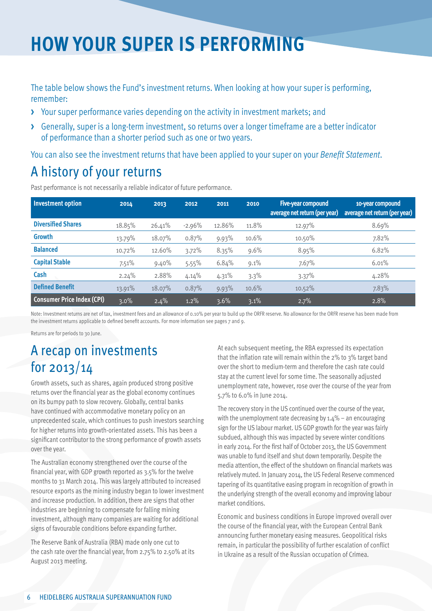## **How your super is performing**

The table below shows the Fund's investment returns. When looking at how your super is performing, remember:

- **>** Your super performance varies depending on the activity in investment markets; and
- **>** Generally, super is a long-term investment, so returns over a longer timeframe are a better indicator of performance than a shorter period such as one or two years.

You can also see the investment returns that have been applied to your super on your *Benefit Statement*.

### A history of your returns

Past performance is not necessarily a reliable indicator of future performance.

| <b>Investment option</b>          | 2014    | 2013   | 2012     | 2011    | 2010    | Five-year compound<br>average net return (per year) | 10-year compound<br>average net return (per year) |
|-----------------------------------|---------|--------|----------|---------|---------|-----------------------------------------------------|---------------------------------------------------|
| <b>Diversified Shares</b>         | 18.85%  | 26.41% | $-2.96%$ | 12.86%  | 11.8%   | 12.97%                                              | 8.69%                                             |
| <b>Growth</b>                     | 13.79%  | 18.07% | 0.87%    | 9.93%   | 10.6%   | 10.50%                                              | 7.82%                                             |
| <b>Balanced</b>                   | 10.72%  | 12.60% | 3.72%    | 8.35%   | 9.6%    | 8.95%                                               | 6.82%                                             |
| <b>Capital Stable</b>             | 7.51%   | 9.40%  | 5.55%    | 6.84%   | $9.1\%$ | 7.67%                                               | 6.01%                                             |
| Cash                              | 2.24%   | 2.88%  | 4.14%    | 4.31%   | 3.3%    | 3.37%                                               | 4.28%                                             |
| <b>Defined Benefit</b>            | 13.91%  | 18.07% | 0.87%    | 9.93%   | 10.6%   | $10.52\%$                                           | 7.83%                                             |
| <b>Consumer Price Index (CPI)</b> | $3.0\%$ | 2.4%   | 1.2%     | $3.6\%$ | $3.1\%$ | 2.7%                                                | 2.8%                                              |

Note: Investment returns are net of tax, investment fees and an allowance of 0.10% per year to build up the ORFR reserve. No allowance for the ORFR reserve has been made from the investment returns applicable to defined benefit accounts. For more information see pages 7 and 9.

Returns are for periods to 30 June.

### A recap on investments for 2013/14

Growth assets, such as shares, again produced strong positive returns over the financial year as the global economy continues on its bumpy path to slow recovery. Globally, central banks have continued with accommodative monetary policy on an unprecedented scale, which continues to push investors searching for higher returns into growth-orientated assets. This has been a significant contributor to the strong performance of growth assets over the year.

The Australian economy strengthened over the course of the financial year, with GDP growth reported as 3.5% for the twelve months to 31 March 2014. This was largely attributed to increased resource exports as the mining industry began to lower investment and increase production. In addition, there are signs that other industries are beginning to compensate for falling mining investment, although many companies are waiting for additional signs of favourable conditions before expanding further.

The Reserve Bank of Australia (RBA) made only one cut to the cash rate over the financial year, from 2.75% to 2.50% at its August 2013 meeting.

At each subsequent meeting, the RBA expressed its expectation that the inflation rate will remain within the 2% to 3% target band over the short to medium-term and therefore the cash rate could stay at the current level for some time. The seasonally adjusted unemployment rate, however, rose over the course of the year from 5.7% to 6.0% in June 2014.

The recovery story in the US continued over the course of the year, with the unemployment rate decreasing by  $1.4\%$  – an encouraging sign for the US labour market. US GDP growth for the year was fairly subdued, although this was impacted by severe winter conditions in early 2014. For the first half of October 2013, the US Government was unable to fund itself and shut down temporarily. Despite the media attention, the effect of the shutdown on financial markets was relatively muted. In January 2014, the US Federal Reserve commenced tapering of its quantitative easing program in recognition of growth in the underlying strength of the overall economy and improving labour market conditions.

Economic and business conditions in Europe improved overall over the course of the financial year, with the European Central Bank announcing further monetary easing measures. Geopolitical risks remain, in particular the possibility of further escalation of conflict in Ukraine as a result of the Russian occupation of Crimea.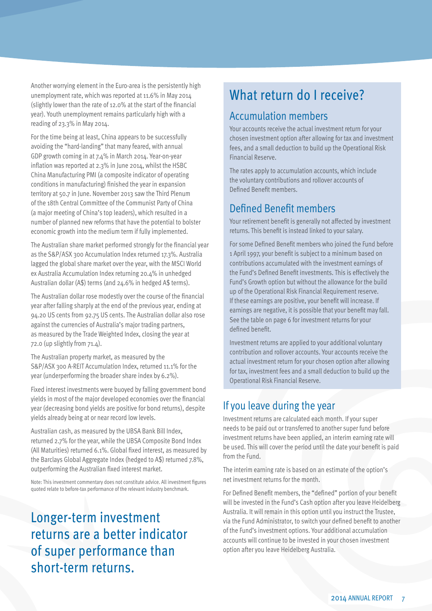Another worrying element in the Euro-area is the persistently high unemployment rate, which was reported at 11.6% in May 2014 (slightly lower than the rate of 12.0% at the start of the financial year). Youth unemployment remains particularly high with a reading of 23.3% in May 2014.

For the time being at least, China appears to be successfully avoiding the "hard-landing" that many feared, with annual GDP growth coming in at 7.4% in March 2014. Year-on-year inflation was reported at 2.3% in June 2014, whilst the HSBC China Manufacturing PMI (a composite indicator of operating conditions in manufacturing) finished the year in expansion territory at 50.7 in June. November 2013 saw the Third Plenum of the 18th Central Committee of the Communist Party of China (a major meeting of China's top leaders), which resulted in a number of planned new reforms that have the potential to bolster economic growth into the medium term if fully implemented.

The Australian share market performed strongly for the financial year as the S&P/ASX 300 Accumulation Index returned 17.3%. Australia lagged the global share market over the year, with the MSCI World ex Australia Accumulation Index returning 20.4% in unhedged Australian dollar (A\$) terms (and 24.6% in hedged A\$ terms).

The Australian dollar rose modestly over the course of the financial year after falling sharply at the end of the previous year, ending at 94.20 US cents from 92.75 US cents. The Australian dollar also rose against the currencies of Australia's major trading partners, as measured by the Trade Weighted Index, closing the year at 72.0 (up slightly from 71.4).

The Australian property market, as measured by the S&P/ASX 300 A-REIT Accumulation Index, returned 11.1% for the year (underperforming the broader share index by 6.2%).

Fixed interest investments were buoyed by falling government bond yields in most of the major developed economies over the financial year (decreasing bond yields are positive for bond returns), despite yields already being at or near record low levels.

Australian cash, as measured by the UBSA Bank Bill Index, returned 2.7% for the year, while the UBSA Composite Bond Index (All Maturities) returned 6.1%. Global fixed interest, as measured by the Barclays Global Aggregate Index (hedged to A\$) returned 7.8%, outperforming the Australian fixed interest market.

Note: This investment commentary does not constitute advice. All investment figures quoted relate to before-tax performance of the relevant industry benchmark.

Longer-term investment returns are a better indicator of super performance than short-term returns.

### What return do I receive?

#### Accumulation members

Your accounts receive the actual investment return for your chosen investment option after allowing for tax and investment fees, and a small deduction to build up the Operational Risk Financial Reserve.

The rates apply to accumulation accounts, which include the voluntary contributions and rollover accounts of Defined Benefit members.

#### Defined Benefit members

Your retirement benefit is generally not affected by investment returns. This benefit is instead linked to your salary.

For some Defined Benefit members who joined the Fund before 1 April 1997, your benefit is subject to a minimum based on contributions accumulated with the investment earnings of the Fund's Defined Benefit investments. This is effectively the Fund's Growth option but without the allowance for the build up of the Operational Risk Financial Requirement reserve. If these earnings are positive, your benefit will increase. If earnings are negative, it is possible that your benefit may fall. See the table on page 6 for investment returns for your defined benefit.

Investment returns are applied to your additional voluntary contribution and rollover accounts. Your accounts receive the actual investment return for your chosen option after allowing for tax, investment fees and a small deduction to build up the Operational Risk Financial Reserve.

#### If you leave during the year

Investment returns are calculated each month. If your super needs to be paid out or transferred to another super fund before investment returns have been applied, an interim earning rate will be used. This will cover the period until the date your benefit is paid from the Fund.

The interim earning rate is based on an estimate of the option's net investment returns for the month.

For Defined Benefit members, the "defined" portion of your benefit will be invested in the Fund's Cash option after you leave Heidelberg Australia. It will remain in this option until you instruct the Trustee, via the Fund Administrator, to switch your defined benefit to another of the Fund's investment options. Your additional accumulation accounts will continue to be invested in your chosen investment option after you leave Heidelberg Australia.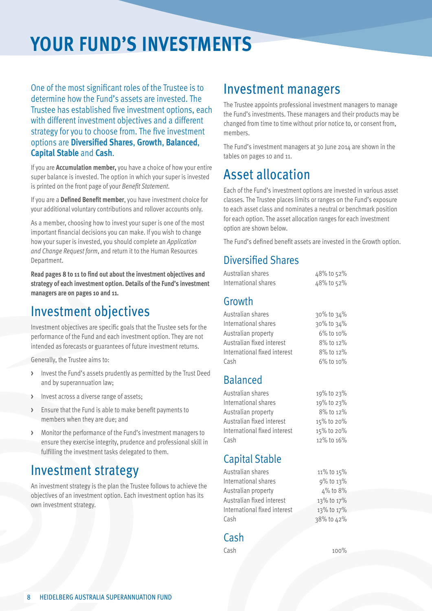# **Your Fund's investments**

One of the most significant roles of the Trustee is to determine how the Fund's assets are invested. The Trustee has established five investment options, each with different investment objectives and a different strategy for you to choose from. The five investment options are **Diversified Shares**, **Growth**, **Balanced**, **Capital Stable** and **Cash**.

If you are **Accumulation member,** you have a choice of how your entire super balance is invested. The option in which your super is invested is printed on the front page of your *Benefit Statement*.

If you are a **Defined Benefit member**, you have investment choice for your additional voluntary contributions and rollover accounts only.

As a member, choosing how to invest your super is one of the most important financial decisions you can make. If you wish to change how your super is invested, you should complete an *Application and Change Request form*, and return it to the Human Resources Department.

**Read pages 8 to 11 to find out about the investment objectives and strategy of each investment option. Details of the Fund's investment managers are on pages 10 and 11.**

### Investment objectives

Investment objectives are specific goals that the Trustee sets for the performance of the Fund and each investment option. They are not intended as forecasts or guarantees of future investment returns.

Generally, the Trustee aims to:

- **>** Invest the Fund's assets prudently as permitted by the Trust Deed and by superannuation law;
- **>** Invest across a diverse range of assets;
- **>** Ensure that the Fund is able to make benefit payments to members when they are due; and
- **>** Monitor the performance of the Fund's investment managers to ensure they exercise integrity, prudence and professional skill in fulfilling the investment tasks delegated to them.

### Investment strategy

An investment strategy is the plan the Trustee follows to achieve the objectives of an investment option. Each investment option has its own investment strategy.

### Investment managers

The Trustee appoints professional investment managers to manage the Fund's investments. These managers and their products may be changed from time to time without prior notice to, or consent from, members.

The Fund's investment managers at 30 June 2014 are shown in the tables on pages 10 and 11.

### Asset allocation

Each of the Fund's investment options are invested in various asset classes. The Trustee places limits or ranges on the Fund's exposure to each asset class and nominates a neutral or benchmark position for each option. The asset allocation ranges for each investment option are shown below.

The Fund's defined benefit assets are invested in the Growth option.

#### Diversified Shares

| Australian shares            | 48% to 52% |
|------------------------------|------------|
| International shares         | 48% to 52% |
| Growth                       |            |
| Australian shares            | 30% to 34% |
| International shares         | 30% to 34% |
| Australian property          | 6% to 10%  |
| Australian fixed interest    | 8% to 12%  |
| International fixed interest | 8% to 12%  |
| Cash                         | 6% to 10%  |
|                              |            |

#### Balanced

| Australian shares            | 19% to 23% |
|------------------------------|------------|
| International shares         | 19% to 23% |
| Australian property          | 8% to 12%  |
| Australian fixed interest    | 15% to 20% |
| International fixed interest | 15% to 20% |
| Cash                         | 12% to 16% |
|                              |            |

#### Capital Stable

| Australian shares            | 11% to 15% |
|------------------------------|------------|
| International shares         | 9% to 13%  |
| Australian property          | 4% to 8%   |
| Australian fixed interest    | 13% to 17% |
| International fixed interest | 13% to 17% |
| Cash                         | 38% to 42% |
|                              |            |

#### Cash

Cash 100%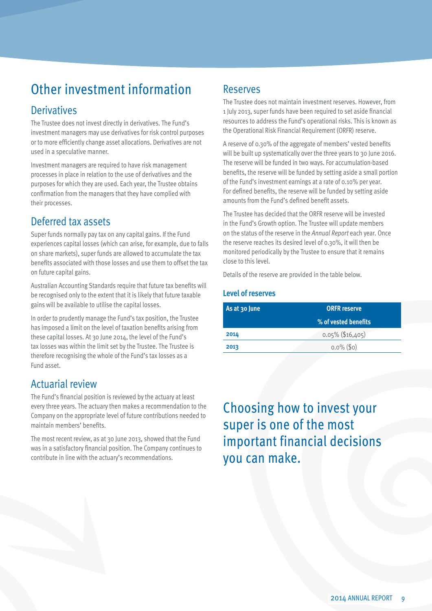### Other investment information

#### **Derivatives**

The Trustee does not invest directly in derivatives. The Fund's investment managers may use derivatives for risk control purposes or to more efficiently change asset allocations. Derivatives are not used in a speculative manner.

Investment managers are required to have risk management processes in place in relation to the use of derivatives and the purposes for which they are used. Each year, the Trustee obtains confirmation from the managers that they have complied with their processes.

#### Deferred tax assets

Super funds normally pay tax on any capital gains. If the Fund experiences capital losses (which can arise, for example, due to falls on share markets), super funds are allowed to accumulate the tax benefits associated with those losses and use them to offset the tax on future capital gains.

Australian Accounting Standards require that future tax benefits will be recognised only to the extent that it is likely that future taxable gains will be available to utilise the capital losses.

In order to prudently manage the Fund's tax position, the Trustee has imposed a limit on the level of taxation benefits arising from these capital losses. At 30 June 2014, the level of the Fund's tax losses was within the limit set by the Trustee. The Trustee is therefore recognising the whole of the Fund's tax losses as a Fund asset.

#### Actuarial review

The Fund's financial position is reviewed by the actuary at least every three years. The actuary then makes a recommendation to the Company on the appropriate level of future contributions needed to maintain members' benefits.

The most recent review, as at 30 June 2013, showed that the Fund was in a satisfactory financial position. The Company continues to contribute in line with the actuary's recommendations.

#### Reserves

The Trustee does not maintain investment reserves. However, from 1 July 2013, super funds have been required to set aside financial resources to address the Fund's operational risks. This is known as the Operational Risk Financial Requirement (ORFR) reserve.

A reserve of 0.30% of the aggregate of members' vested benefits will be built up systematically over the three years to 30 June 2016. The reserve will be funded in two ways. For accumulation-based benefits, the reserve will be funded by setting aside a small portion of the Fund's investment earnings at a rate of 0.10% per year. For defined benefits, the reserve will be funded by setting aside amounts from the Fund's defined benefit assets.

The Trustee has decided that the ORFR reserve will be invested in the Fund's Growth option. The Trustee will update members on the status of the reserve in the *Annual Report* each year. Once the reserve reaches its desired level of 0.30%, it will then be monitored periodically by the Trustee to ensure that it remains close to this level.

Details of the reserve are provided in the table below.

#### **Level of reserves**

| As at 30 June | <b>ORFR</b> reserve  |  |
|---------------|----------------------|--|
|               | % of vested benefits |  |
| 2014          | $0.05\%$ (\$16,405)  |  |
| 2013          | $0.0\%$ (\$0)        |  |

Choosing how to invest your super is one of the most important financial decisions you can make.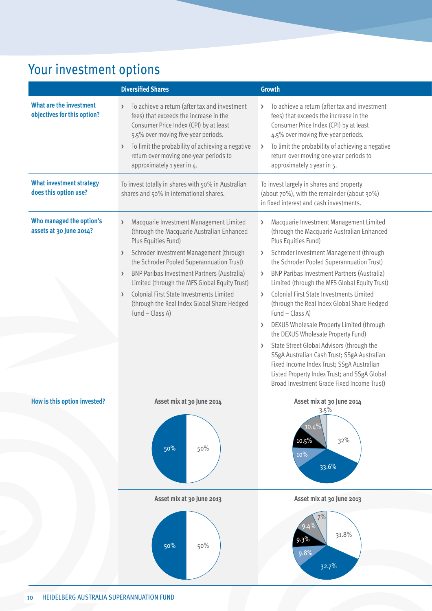### Your investment options

|                                                               | <b>Diversified Shares</b>                                                                                                                                                                                                                                                                                                                                                                                                 | <b>Growth</b>                                                                                                                                                                                                                                                                                                                                                                                                                                                                                                                                                                                                                                                                                                                                        |
|---------------------------------------------------------------|---------------------------------------------------------------------------------------------------------------------------------------------------------------------------------------------------------------------------------------------------------------------------------------------------------------------------------------------------------------------------------------------------------------------------|------------------------------------------------------------------------------------------------------------------------------------------------------------------------------------------------------------------------------------------------------------------------------------------------------------------------------------------------------------------------------------------------------------------------------------------------------------------------------------------------------------------------------------------------------------------------------------------------------------------------------------------------------------------------------------------------------------------------------------------------------|
| <b>What are the investment</b><br>objectives for this option? | To achieve a return (after tax and investment<br>fees) that exceeds the increase in the<br>Consumer Price Index (CPI) by at least<br>5.5% over moving five-year periods.<br>To limit the probability of achieving a negative<br>return over moving one-year periods to<br>approximately 1 year in 4.                                                                                                                      | To achieve a return (after tax and investment<br>fees) that exceeds the increase in the<br>Consumer Price Index (CPI) by at least<br>4.5% over moving five-year periods.<br>To limit the probability of achieving a negative<br>return over moving one-year periods to<br>approximately 1 year in 5.                                                                                                                                                                                                                                                                                                                                                                                                                                                 |
| <b>What investment strategy</b><br>does this option use?      | To invest totally in shares with 50% in Australian<br>shares and 50% in international shares.                                                                                                                                                                                                                                                                                                                             | To invest largely in shares and property<br>(about 70%), with the remainder (about 30%)<br>in fixed interest and cash investments.                                                                                                                                                                                                                                                                                                                                                                                                                                                                                                                                                                                                                   |
| Who managed the option's<br>assets at 30 June 2014?           | Macquarie Investment Management Limited<br>(through the Macquarie Australian Enhanced<br>Plus Equities Fund)<br>Schroder Investment Management (through<br>the Schroder Pooled Superannuation Trust)<br><b>BNP Paribas Investment Partners (Australia)</b><br>Limited (through the MFS Global Equity Trust)<br>Colonial First State Investments Limited<br>(through the Real Index Global Share Hedged<br>Fund - Class A) | Macquarie Investment Management Limited<br>(through the Macquarie Australian Enhanced<br>Plus Equities Fund)<br>> Schroder Investment Management (through<br>the Schroder Pooled Superannuation Trust)<br>> BNP Paribas Investment Partners (Australia)<br>Limited (through the MFS Global Equity Trust)<br>> Colonial First State Investments Limited<br>(through the Real Index Global Share Hedged<br>Fund - Class A)<br>> DEXUS Wholesale Property Limited (through<br>the DEXUS Wholesale Property Fund)<br>State Street Global Advisors (through the<br>SSgA Australian Cash Trust; SSgA Australian<br>Fixed Income Index Trust; SSgA Australian<br>Listed Property Index Trust; and SSgA Global<br>Broad Investment Grade Fixed Income Trust) |
| How is this option invested?                                  | Asset mix at 30 June 2014<br>50%<br>50%                                                                                                                                                                                                                                                                                                                                                                                   | Asset mix at 30 June 2014<br>$3.5\%$<br>32%<br>10%<br>33.6%                                                                                                                                                                                                                                                                                                                                                                                                                                                                                                                                                                                                                                                                                          |
|                                                               | Asset mix at 30 June 2013                                                                                                                                                                                                                                                                                                                                                                                                 | Asset mix at 30 June 2013                                                                                                                                                                                                                                                                                                                                                                                                                                                                                                                                                                                                                                                                                                                            |
|                                                               | 50%<br>50%                                                                                                                                                                                                                                                                                                                                                                                                                | 31.8%<br>9.3%<br>9.8%<br>32.7%                                                                                                                                                                                                                                                                                                                                                                                                                                                                                                                                                                                                                                                                                                                       |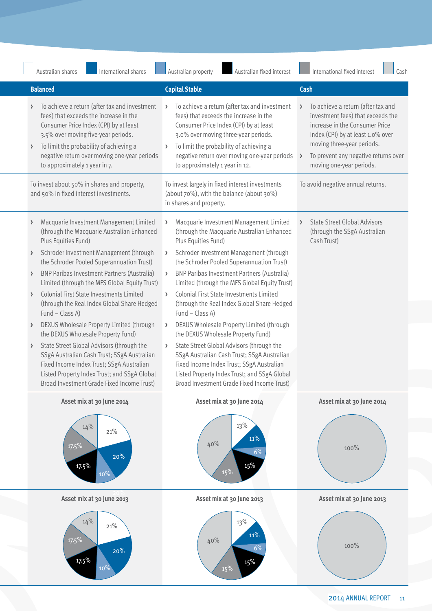| International shares<br>Australian shares                                                                                                                                                                                                                                                            | Australian property<br>Australian fixed interest                                                                                                                                                                                                                                                         | International fixed interest<br>Cash                                                                                                                                                                                                             |
|------------------------------------------------------------------------------------------------------------------------------------------------------------------------------------------------------------------------------------------------------------------------------------------------------|----------------------------------------------------------------------------------------------------------------------------------------------------------------------------------------------------------------------------------------------------------------------------------------------------------|--------------------------------------------------------------------------------------------------------------------------------------------------------------------------------------------------------------------------------------------------|
| <b>Balanced</b>                                                                                                                                                                                                                                                                                      | <b>Capital Stable</b>                                                                                                                                                                                                                                                                                    | Cash                                                                                                                                                                                                                                             |
| To achieve a return (after tax and investment<br>fees) that exceeds the increase in the<br>Consumer Price Index (CPI) by at least<br>3.5% over moving five-year periods.<br>To limit the probability of achieving a<br>negative return over moving one-year periods<br>to approximately 1 year in 7. | To achieve a return (after tax and investment<br>fees) that exceeds the increase in the<br>Consumer Price Index (CPI) by at least<br>3.0% over moving three-year periods.<br>> To limit the probability of achieving a<br>negative return over moving one-year periods<br>to approximately 1 year in 12. | To achieve a return (after tax and<br>investment fees) that exceeds the<br>increase in the Consumer Price<br>Index (CPI) by at least 1.0% over<br>moving three-year periods.<br>To prevent any negative returns over<br>moving one-year periods. |
| To invest about 50% in shares and property,<br>and 50% in fixed interest investments.                                                                                                                                                                                                                | To invest largely in fixed interest investments<br>(about 70%), with the balance (about 30%)<br>in shares and property.                                                                                                                                                                                  | To avoid negative annual returns.                                                                                                                                                                                                                |
| Macquarie Investment Management Limited<br>(through the Macquarie Australian Enhanced<br>Plus Equities Fund)                                                                                                                                                                                         | Macquarie Investment Management Limited<br>(through the Macquarie Australian Enhanced<br>Plus Equities Fund)                                                                                                                                                                                             | <b>State Street Global Advisors</b><br>(through the SSgA Australian<br>Cash Trust)                                                                                                                                                               |
| Schroder Investment Management (through<br>the Schroder Pooled Superannuation Trust)                                                                                                                                                                                                                 | Schroder Investment Management (through<br>the Schroder Pooled Superannuation Trust)                                                                                                                                                                                                                     |                                                                                                                                                                                                                                                  |
| <b>BNP Paribas Investment Partners (Australia)</b><br>Limited (through the MFS Global Equity Trust)                                                                                                                                                                                                  | <b>BNP Paribas Investment Partners (Australia)</b><br>Limited (through the MFS Global Equity Trust)                                                                                                                                                                                                      |                                                                                                                                                                                                                                                  |
| Colonial First State Investments Limited<br>(through the Real Index Global Share Hedged<br>Fund - Class A)                                                                                                                                                                                           | Colonial First State Investments Limited<br>(through the Real Index Global Share Hedged<br>Fund – Class A)                                                                                                                                                                                               |                                                                                                                                                                                                                                                  |
| DEXUS Wholesale Property Limited (through<br>the DEXUS Wholesale Property Fund)                                                                                                                                                                                                                      | DEXUS Wholesale Property Limited (through<br>the DEXUS Wholesale Property Fund)                                                                                                                                                                                                                          |                                                                                                                                                                                                                                                  |
| State Street Global Advisors (through the<br>SSgA Australian Cash Trust; SSgA Australian<br>Fixed Income Index Trust; SSgA Australian<br>Listed Property Index Trust; and SSgA Global<br>Broad Investment Grade Fixed Income Trust)                                                                  | > State Street Global Advisors (through the<br>SSgA Australian Cash Trust; SSgA Australian<br>Fixed Income Index Trust; SSgA Australian<br>Listed Property Index Trust; and SSgA Global<br>Broad Investment Grade Fixed Income Trust)                                                                    |                                                                                                                                                                                                                                                  |
| Asset mix at 30 June 2014                                                                                                                                                                                                                                                                            | Asset mix at 30 June 2014                                                                                                                                                                                                                                                                                | Asset mix at 30 June 2014                                                                                                                                                                                                                        |
| 14%<br>21%<br>$17.5\%$<br>20%<br>17.5%                                                                                                                                                                                                                                                               | 13%<br>40%<br>15%<br>15%                                                                                                                                                                                                                                                                                 | $100\%$                                                                                                                                                                                                                                          |
| Asset mix at 30 June 2013                                                                                                                                                                                                                                                                            | Asset mix at 30 June 2013                                                                                                                                                                                                                                                                                | Asset mix at 30 June 2013                                                                                                                                                                                                                        |
| 14%<br>21%<br>$17.5\%$<br>20%<br>17.5%                                                                                                                                                                                                                                                               | 13%<br>40%<br>15%<br>15%                                                                                                                                                                                                                                                                                 | $100\%$                                                                                                                                                                                                                                          |

2014 ANNUAL REPORT 11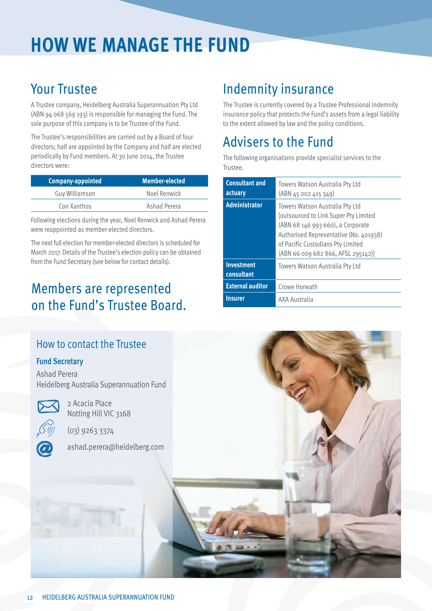# **How we manage the Fund**

### Your Trustee

A Trustee company, Heidelberg Australia Superannuation Pty Ltd (ABN 94 068 569 193) is responsible for managing the Fund. The sole purpose of this company is to be Trustee of the Fund.

The Trustee's responsibilities are carried out by a Board of four directors; half are appointed by the Company and half are elected periodically by Fund members. At 30 June 2014, the Trustee directors were:

| <b>Company-appointed</b> | <b>Member-elected</b> |
|--------------------------|-----------------------|
| <b>Guy Williamson</b>    | Noel Renwick          |
| Con Xanthos              | Ashad Perera          |

Following elections during the year, Noel Renwick and Ashad Perera were reappointed as member-elected directors.

The next full election for member-elected directors is scheduled for March 2017. Details of the Trustee's election policy can be obtained from the Fund Secretary (see below for contact details).

### Members are represented on the Fund's Trustee Board.

#### How to contact the Trustee

#### **Fund Secretary**

Ashad Perera Heidelberg Australia Superannuation Fund



Notting Hill VIC 3168

(03) 9263 3374

2 Acacia Place

ashad.perera@heidelberg.com

### Indemnity insurance

The Trustee is currently covered by a Trustee Professional Indemnity insurance policy that protects the Fund's assets from a legal liability to the extent allowed by law and the policy conditions.

### Advisers to the Fund

The following organisations provide specialist services to the Trustee.

| <b>Consultant and</b><br>actuary | Towers Watson Australia Pty Ltd<br>(ABN 45 002 415 349)                                                                                                                                                                                   |
|----------------------------------|-------------------------------------------------------------------------------------------------------------------------------------------------------------------------------------------------------------------------------------------|
| <b>Administrator</b>             | Towers Watson Australia Pty Ltd<br><b>Joutsourced to Link Super Pty Limited</b><br>(ABN 68 146 993 660), a Corporate<br>Authorised Representative (No. 401938)<br>of Pacific Custodians Pty Limited<br>(ABN 66 009 682 866, AFSL 295142)] |
| <b>Investment</b><br>consultant  | Towers Watson Australia Pty Ltd                                                                                                                                                                                                           |
| <b>External auditor</b>          | Crowe Horwath                                                                                                                                                                                                                             |
| <b>Insurer</b>                   | AXA Australia                                                                                                                                                                                                                             |

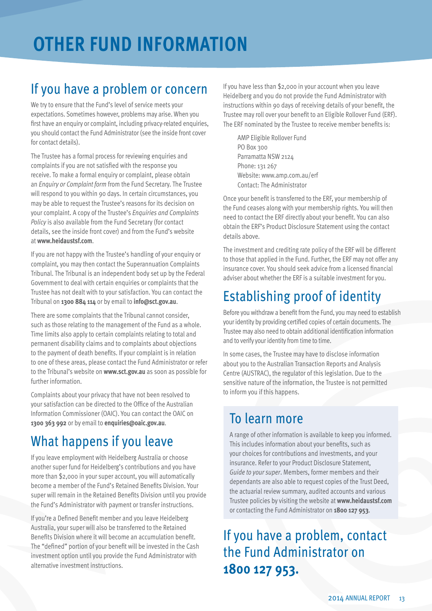# **OTHER FUND INFORMATION**

### If you have a problem or concern

We try to ensure that the Fund's level of service meets your expectations. Sometimes however, problems may arise. When you first have an enquiry or complaint, including privacy-related enquiries, you should contact the Fund Administrator (see the inside front cover for contact details).

The Trustee has a formal process for reviewing enquiries and complaints if you are not satisfied with the response you receive. To make a formal enquiry or complaint, please obtain an *Enquiry or Complaint form* from the Fund Secretary. The Trustee will respond to you within 90 days. In certain circumstances, you may be able to request the Trustee's reasons for its decision on your complaint. A copy of the Trustee's *Enquiries and Complaints Policy* is also available from the Fund Secretary (for contact details, see the inside front cover) and from the Fund's website at **www.heidaustsf.com**.

If you are not happy with the Trustee's handling of your enquiry or complaint, you may then contact the Superannuation Complaints Tribunal. The Tribunal is an independent body set up by the Federal Government to deal with certain enquiries or complaints that the Trustee has not dealt with to your satisfaction. You can contact the Tribunal on **1300 884 114** or by email to **info@sct.gov.au**.

There are some complaints that the Tribunal cannot consider, such as those relating to the management of the Fund as a whole. Time limits also apply to certain complaints relating to total and permanent disability claims and to complaints about objections to the payment of death benefits. If your complaint is in relation to one of these areas, please contact the Fund Administrator or refer to the Tribunal's website on **www.sct.gov.au** as soon as possible for further information.

Complaints about your privacy that have not been resolved to your satisfaction can be directed to the Office of the Australian Information Commissioner (OAIC). You can contact the OAIC on **1300 363 992** or by email to **enquiries@oaic.gov.au**.

### What happens if you leave

If you leave employment with Heidelberg Australia or choose another super fund for Heidelberg's contributions and you have more than \$2,000 in your super account, you will automatically become a member of the Fund's Retained Benefits Division. Your super will remain in the Retained Benefits Division until you provide the Fund's Administrator with payment or transfer instructions.

If you're a Defined Benefit member and you leave Heidelberg Australia, your super will also be transferred to the Retained Benefits Division where it will become an accumulation benefit. The "defined" portion of your benefit will be invested in the Cash investment option until you provide the Fund Administrator with alternative investment instructions.

If you have less than \$2,000 in your account when you leave Heidelberg and you do not provide the Fund Administrator with instructions within 90 days of receiving details of your benefit, the Trustee may roll over your benefit to an Eligible Rollover Fund (ERF). The ERF nominated by the Trustee to receive member benefits is:

AMP Eligible Rollover Fund PO Box 300 Parramatta NSW 2124 Phone: 131 267 Website: www.amp.com.au/erf Contact: The Administrator

Once your benefit is transferred to the ERF, your membership of the Fund ceases along with your membership rights. You will then need to contact the ERF directly about your benefit. You can also obtain the ERF's Product Disclosure Statement using the contact details above.

The investment and crediting rate policy of the ERF will be different to those that applied in the Fund. Further, the ERF may not offer any insurance cover. You should seek advice from a licensed financial adviser about whether the ERF is a suitable investment for you.

### Establishing proof of identity

Before you withdraw a benefit from the Fund, you may need to establish your identity by providing certified copies of certain documents. The Trustee may also need to obtain additional identification information and to verify your identity from time to time.

In some cases, the Trustee may have to disclose information about you to the Australian Transaction Reports and Analysis Centre (AUSTRAC), the regulator of this legislation. Due to the sensitive nature of the information, the Trustee is not permitted to inform you if this happens.

### To learn more

A range of other information is available to keep you informed. This includes information about your benefits, such as your choices for contributions and investments, and your insurance. Refer to your Product Disclosure Statement, *Guide to your super*. Members, former members and their dependants are also able to request copies of the Trust Deed, the actuarial review summary, audited accounts and various Trustee policies by visiting the website at **www.heidaustsf.com** or contacting the Fund Administrator on **1800 127 953**.

If you have a problem, contact the Fund Administrator on **1800 127 953.**